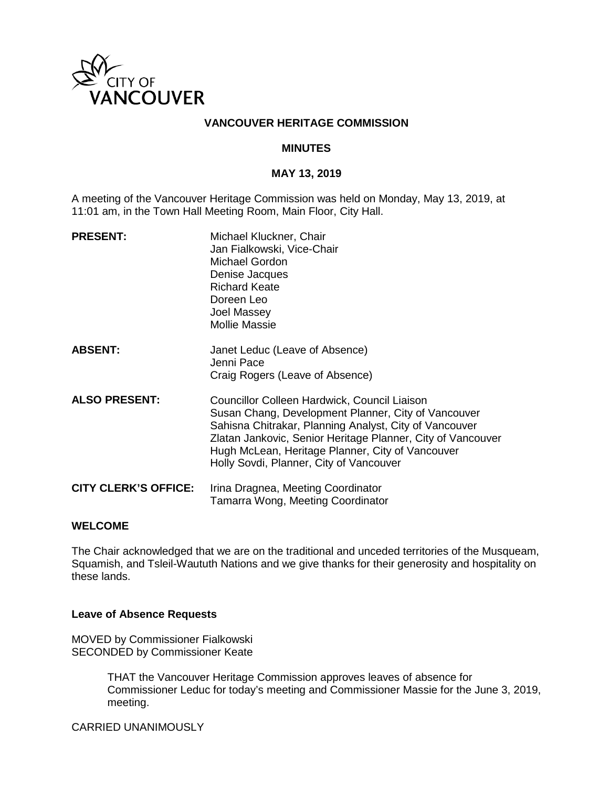

## **VANCOUVER HERITAGE COMMISSION**

## **MINUTES**

#### **MAY 13, 2019**

A meeting of the Vancouver Heritage Commission was held on Monday, May 13, 2019, at 11:01 am, in the Town Hall Meeting Room, Main Floor, City Hall.

| <b>PRESENT:</b>             | Michael Kluckner, Chair<br>Jan Fialkowski, Vice-Chair<br>Michael Gordon<br>Denise Jacques<br><b>Richard Keate</b><br>Doreen Leo<br>Joel Massey<br><b>Mollie Massie</b>                                                                                                                                                      |
|-----------------------------|-----------------------------------------------------------------------------------------------------------------------------------------------------------------------------------------------------------------------------------------------------------------------------------------------------------------------------|
| <b>ABSENT:</b>              | Janet Leduc (Leave of Absence)<br>Jenni Pace<br>Craig Rogers (Leave of Absence)                                                                                                                                                                                                                                             |
| <b>ALSO PRESENT:</b>        | Councillor Colleen Hardwick, Council Liaison<br>Susan Chang, Development Planner, City of Vancouver<br>Sahisna Chitrakar, Planning Analyst, City of Vancouver<br>Zlatan Jankovic, Senior Heritage Planner, City of Vancouver<br>Hugh McLean, Heritage Planner, City of Vancouver<br>Holly Sovdi, Planner, City of Vancouver |
| <b>CITY CLERK'S OFFICE:</b> | Irina Dragnea, Meeting Coordinator<br>Tamarra Wong, Meeting Coordinator                                                                                                                                                                                                                                                     |

## **WELCOME**

The Chair acknowledged that we are on the traditional and unceded territories of the Musqueam, Squamish, and Tsleil-Waututh Nations and we give thanks for their generosity and hospitality on these lands.

### **Leave of Absence Requests**

MOVED by Commissioner Fialkowski SECONDED by Commissioner Keate

> THAT the Vancouver Heritage Commission approves leaves of absence for Commissioner Leduc for today's meeting and Commissioner Massie for the June 3, 2019, meeting.

CARRIED UNANIMOUSLY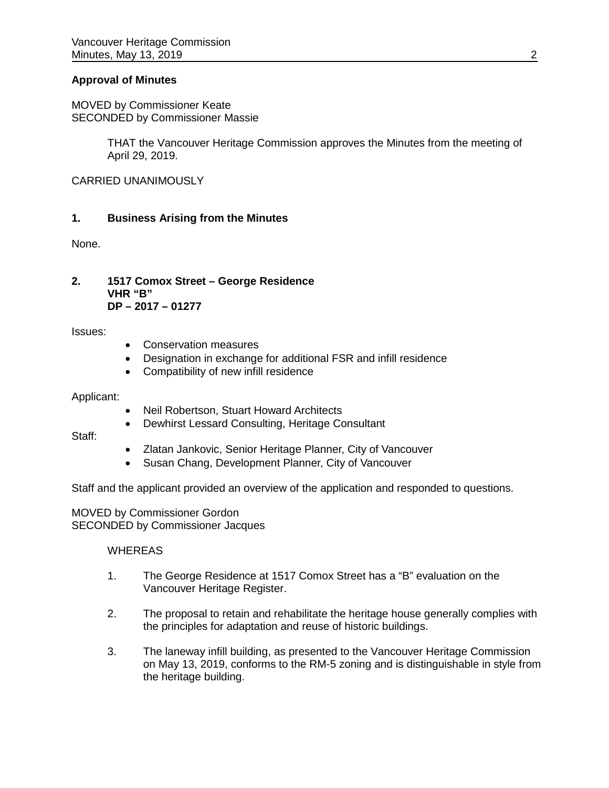## **Approval of Minutes**

MOVED by Commissioner Keate SECONDED by Commissioner Massie

> THAT the Vancouver Heritage Commission approves the Minutes from the meeting of April 29, 2019.

CARRIED UNANIMOUSLY

## **1. Business Arising from the Minutes**

None.

**2. 1517 Comox Street – George Residence VHR "B" DP – 2017 – 01277** 

Issues:

- Conservation measures
- Designation in exchange for additional FSR and infill residence
- Compatibility of new infill residence

Applicant:

- Neil Robertson, Stuart Howard Architects
- Dewhirst Lessard Consulting, Heritage Consultant

Staff:

- Zlatan Jankovic, Senior Heritage Planner, City of Vancouver
- Susan Chang, Development Planner, City of Vancouver

Staff and the applicant provided an overview of the application and responded to questions.

MOVED by Commissioner Gordon SECONDED by Commissioner Jacques

### **WHEREAS**

- 1. The George Residence at 1517 Comox Street has a "B" evaluation on the Vancouver Heritage Register.
- 2. The proposal to retain and rehabilitate the heritage house generally complies with the principles for adaptation and reuse of historic buildings.
- 3. The laneway infill building, as presented to the Vancouver Heritage Commission on May 13, 2019, conforms to the RM-5 zoning and is distinguishable in style from the heritage building.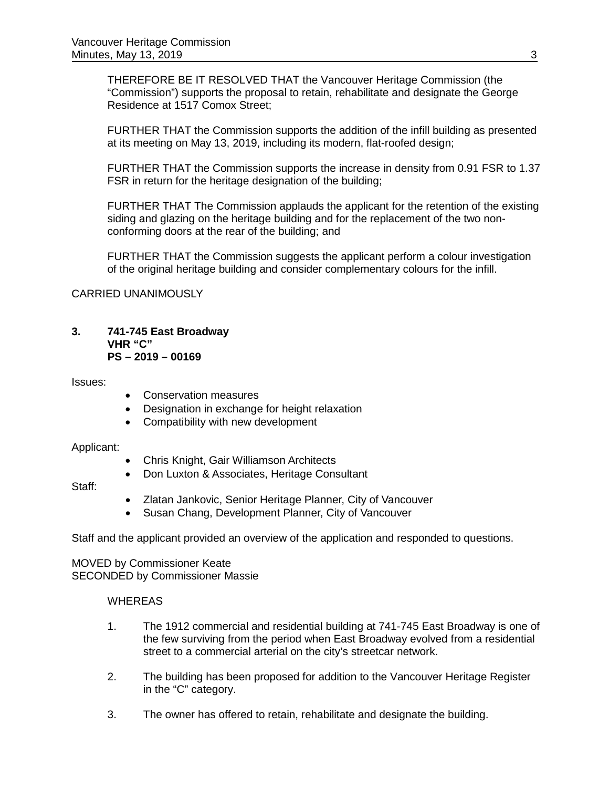THEREFORE BE IT RESOLVED THAT the Vancouver Heritage Commission (the "Commission") supports the proposal to retain, rehabilitate and designate the George Residence at 1517 Comox Street;

FURTHER THAT the Commission supports the addition of the infill building as presented at its meeting on May 13, 2019, including its modern, flat-roofed design;

FURTHER THAT the Commission supports the increase in density from 0.91 FSR to 1.37 FSR in return for the heritage designation of the building;

FURTHER THAT The Commission applauds the applicant for the retention of the existing siding and glazing on the heritage building and for the replacement of the two nonconforming doors at the rear of the building; and

FURTHER THAT the Commission suggests the applicant perform a colour investigation of the original heritage building and consider complementary colours for the infill.

### CARRIED UNANIMOUSLY

#### **3. 741-745 East Broadway VHR "C" PS – 2019 – 00169**

Issues:

- Conservation measures
- Designation in exchange for height relaxation
- Compatibility with new development

### Applicant:

- Chris Knight, Gair Williamson Architects
- Don Luxton & Associates, Heritage Consultant

Staff:

- Zlatan Jankovic, Senior Heritage Planner, City of Vancouver
- Susan Chang, Development Planner, City of Vancouver

Staff and the applicant provided an overview of the application and responded to questions.

MOVED by Commissioner Keate SECONDED by Commissioner Massie

### **WHEREAS**

- 1. The 1912 commercial and residential building at 741-745 East Broadway is one of the few surviving from the period when East Broadway evolved from a residential street to a commercial arterial on the city's streetcar network.
- 2. The building has been proposed for addition to the Vancouver Heritage Register in the "C" category.
- 3. The owner has offered to retain, rehabilitate and designate the building.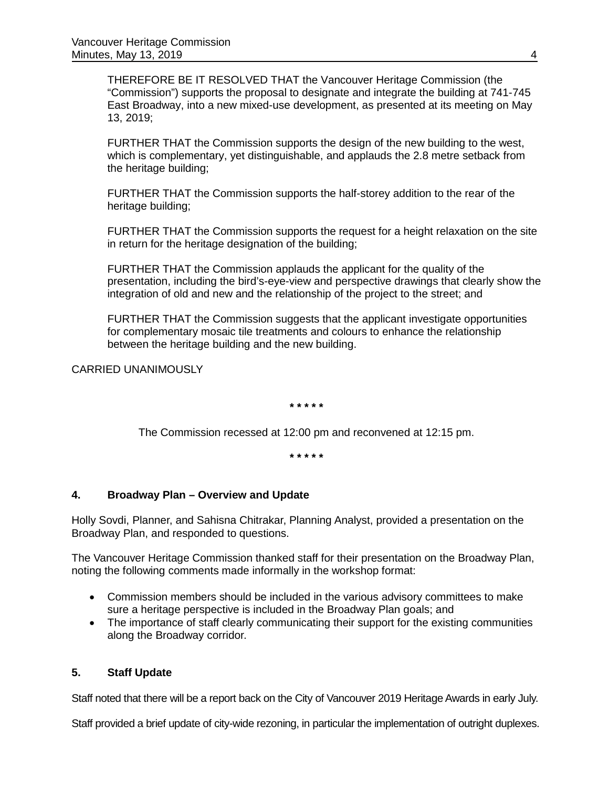THEREFORE BE IT RESOLVED THAT the Vancouver Heritage Commission (the "Commission") supports the proposal to designate and integrate the building at 741-745 East Broadway, into a new mixed-use development, as presented at its meeting on May 13, 2019;

FURTHER THAT the Commission supports the design of the new building to the west, which is complementary, yet distinguishable, and applauds the 2.8 metre setback from the heritage building;

FURTHER THAT the Commission supports the half-storey addition to the rear of the heritage building;

FURTHER THAT the Commission supports the request for a height relaxation on the site in return for the heritage designation of the building;

FURTHER THAT the Commission applauds the applicant for the quality of the presentation, including the bird's-eye-view and perspective drawings that clearly show the integration of old and new and the relationship of the project to the street; and

FURTHER THAT the Commission suggests that the applicant investigate opportunities for complementary mosaic tile treatments and colours to enhance the relationship between the heritage building and the new building.

CARRIED UNANIMOUSLY

**\* \* \* \* \***

The Commission recessed at 12:00 pm and reconvened at 12:15 pm.

**\* \* \* \* \***

### **4. Broadway Plan – Overview and Update**

Holly Sovdi, Planner, and Sahisna Chitrakar, Planning Analyst, provided a presentation on the Broadway Plan, and responded to questions.

The Vancouver Heritage Commission thanked staff for their presentation on the Broadway Plan, noting the following comments made informally in the workshop format:

- Commission members should be included in the various advisory committees to make sure a heritage perspective is included in the Broadway Plan goals; and
- The importance of staff clearly communicating their support for the existing communities along the Broadway corridor.

## **5. Staff Update**

Staff noted that there will be a report back on the City of Vancouver 2019 Heritage Awards in early July.

Staff provided a brief update of city-wide rezoning, in particular the implementation of outright duplexes.